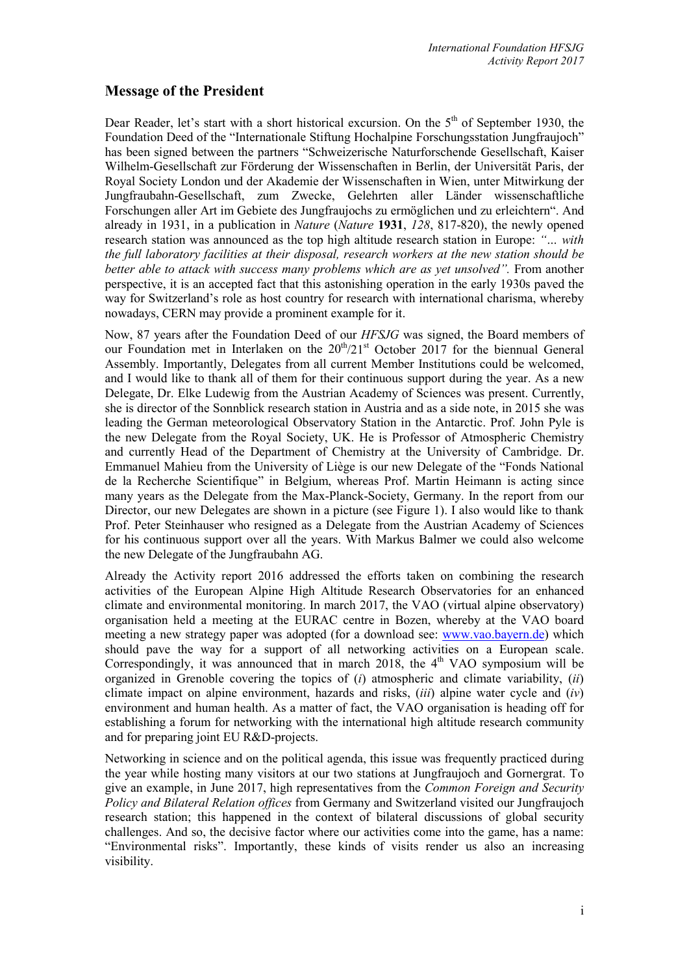## **Message of the President**

Dear Reader, let's start with a short historical excursion. On the  $5<sup>th</sup>$  of September 1930, the Foundation Deed of the "Internationale Stiftung Hochalpine Forschungsstation Jungfraujoch" has been signed between the partners "Schweizerische Naturforschende Gesellschaft, Kaiser Wilhelm-Gesellschaft zur Förderung der Wissenschaften in Berlin, der Universität Paris, der Royal Society London und der Akademie der Wissenschaften in Wien, unter Mitwirkung der Jungfraubahn-Gesellschaft, zum Zwecke, Gelehrten aller Länder wissenschaftliche Forschungen aller Art im Gebiete des Jungfraujochs zu ermöglichen und zu erleichtern". And already in 1931, in a publication in *Nature* (*Nature* **1931**, *128*, 817-820), the newly opened research station was announced as the top high altitude research station in Europe: *"… with the full laboratory facilities at their disposal, research workers at the new station should be better able to attack with success many problems which are as yet unsolved".* From another perspective, it is an accepted fact that this astonishing operation in the early 1930s paved the way for Switzerland's role as host country for research with international charisma, whereby nowadays, CERN may provide a prominent example for it.

Now, 87 years after the Foundation Deed of our *HFSJG* was signed, the Board members of our Foundation met in Interlaken on the  $20<sup>th</sup>/21<sup>st</sup>$  October 2017 for the biennual General Assembly. Importantly, Delegates from all current Member Institutions could be welcomed, and I would like to thank all of them for their continuous support during the year. As a new Delegate, Dr. Elke Ludewig from the Austrian Academy of Sciences was present. Currently, she is director of the Sonnblick research station in Austria and as a side note, in 2015 she was leading the German meteorological Observatory Station in the Antarctic. Prof. John Pyle is the new Delegate from the Royal Society, UK. He is Professor of Atmospheric Chemistry and currently Head of the Department of Chemistry at the University of Cambridge. Dr. Emmanuel Mahieu from the University of Liège is our new Delegate of the "Fonds National de la Recherche Scientifique" in Belgium, whereas Prof. Martin Heimann is acting since many years as the Delegate from the Max-Planck-Society, Germany. In the report from our Director, our new Delegates are shown in a picture (see Figure 1). I also would like to thank Prof. Peter Steinhauser who resigned as a Delegate from the Austrian Academy of Sciences for his continuous support over all the years. With Markus Balmer we could also welcome the new Delegate of the Jungfraubahn AG.

Already the Activity report 2016 addressed the efforts taken on combining the research activities of the European Alpine High Altitude Research Observatories for an enhanced climate and environmental monitoring. In march 2017, the VAO (virtual alpine observatory) organisation held a meeting at the EURAC centre in Bozen, whereby at the VAO board meeting a new strategy paper was adopted (for a download see: [www.vao.bayern.de\)](http://www.vao.bayern.de/) which should pave the way for a support of all networking activities on a European scale. Correspondingly, it was announced that in march 2018, the  $4<sup>th</sup>$  VAO symposium will be organized in Grenoble covering the topics of (*i*) atmospheric and climate variability, (*ii*) climate impact on alpine environment, hazards and risks, (*iii*) alpine water cycle and (*iv*) environment and human health. As a matter of fact, the VAO organisation is heading off for establishing a forum for networking with the international high altitude research community and for preparing joint EU R&D-projects.

Networking in science and on the political agenda, this issue was frequently practiced during the year while hosting many visitors at our two stations at Jungfraujoch and Gornergrat. To give an example, in June 2017, high representatives from the *Common Foreign and Security Policy and Bilateral Relation offices* from Germany and Switzerland visited our Jungfraujoch research station; this happened in the context of bilateral discussions of global security challenges. And so, the decisive factor where our activities come into the game, has a name: "Environmental risks". Importantly, these kinds of visits render us also an increasing visibility.